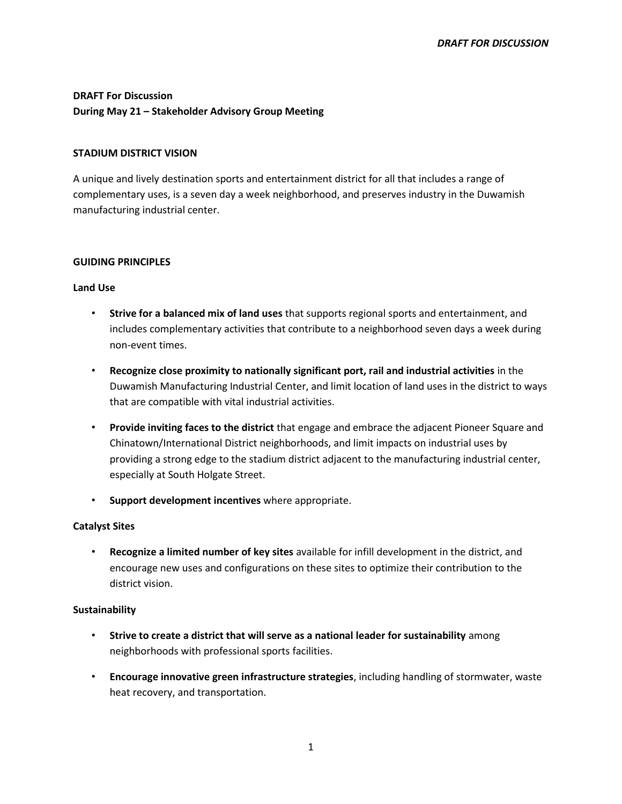# **DRAFT For Discussion During May 21 – Stakeholder Advisory Group Meeting**

#### **STADIUM DISTRICT VISION**

A unique and lively destination sports and entertainment district for all that includes a range of complementary uses, is a seven day a week neighborhood, and preserves industry in the Duwamish manufacturing industrial center.

#### **GUIDING PRINCIPLES**

#### **Land Use**

- **Strive for a balanced mix of land uses** that supports regional sports and entertainment, and includes complementary activities that contribute to a neighborhood seven days a week during non-event times.
- **Recognize close proximity to nationally significant port, rail and industrial activities** in the Duwamish Manufacturing Industrial Center, and limit location of land uses in the district to ways that are compatible with vital industrial activities.
- **Provide inviting faces to the district** that engage and embrace the adjacent Pioneer Square and Chinatown/International District neighborhoods, and limit impacts on industrial uses by providing a strong edge to the stadium district adjacent to the manufacturing industrial center, especially at South Holgate Street.
- **Support development incentives** where appropriate.

### **Catalyst Sites**

• **Recognize a limited number of key sites** available for infill development in the district, and encourage new uses and configurations on these sites to optimize their contribution to the district vision.

### **Sustainability**

- **Strive to create a district that will serve as a national leader for sustainability** among neighborhoods with professional sports facilities.
- **Encourage innovative green infrastructure strategies**, including handling of stormwater, waste heat recovery, and transportation.